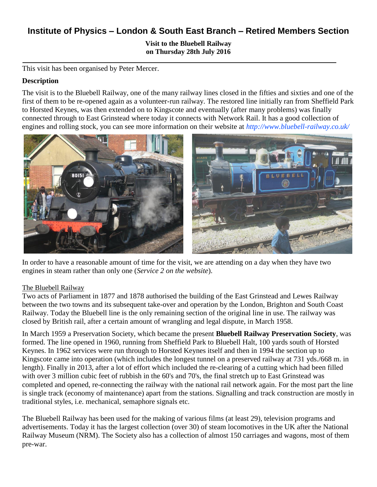# **Institute of Physics – London & South East Branch – Retired Members Section**

**Visit to the Bluebell Railway on Thursday 28th July 2016**

This visit has been organised by Peter Mercer.

#### **Description**

The visit is to the Bluebell Railway, one of the many railway lines closed in the fifties and sixties and one of the first of them to be re-opened again as a volunteer-run railway. The restored line initially ran from Sheffield Park to Horsted Keynes, was then extended on to Kingscote and eventually (after many problems) was finally connected through to East Grinstead where today it connects with Network Rail. It has a good collection of engines and rolling stock, you can see more information on their website at *http://www.bluebell-railway.co.uk/*



In order to have a reasonable amount of time for the visit, we are attending on a day when they have two engines in steam rather than only one (*Service 2 on the website*).

#### The Bluebell Railway

Two acts of Parliament in 1877 and 1878 authorised the building of the East Grinstead and Lewes Railway between the two towns and its subsequent take-over and operation by the London, Brighton and South Coast Railway. Today the Bluebell line is the only remaining section of the original line in use. The railway was closed by British rail, after a certain amount of wrangling and legal dispute, in March 1958.

In March 1959 a Preservation Society, which became the present **Bluebell Railway Preservation Society**, was formed. The line opened in 1960, running from Sheffield Park to Bluebell Halt, 100 yards south of Horsted Keynes. In 1962 services were run through to Horsted Keynes itself and then in 1994 the section up to Kingscote came into operation (which includes the longest tunnel on a preserved railway at 731 yds./668 m. in length). Finally in 2013, after a lot of effort which included the re-clearing of a cutting which had been filled with over 3 million cubic feet of rubbish in the 60's and 70's, the final stretch up to East Grinstead was completed and opened, re-connecting the railway with the national rail network again. For the most part the line is single track (economy of maintenance) apart from the stations. Signalling and track construction are mostly in traditional styles, i.e. mechanical, semaphore signals etc.

The Bluebell Railway has been used for the making of various films (at least 29), television programs and advertisements. Today it has the largest collection (over 30) of steam locomotives in the UK after the National Railway Museum (NRM). The Society also has a collection of almost 150 carriages and wagons, most of them pre-war.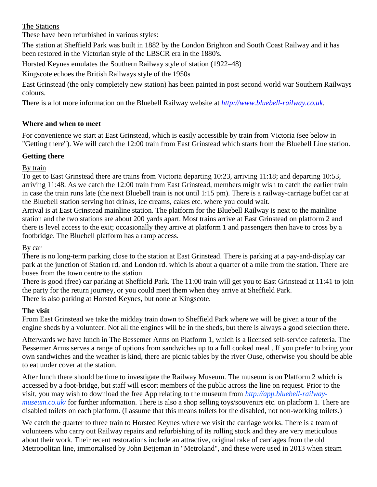The Stations

These have been refurbished in various styles:

The station at Sheffield Park was built in 1882 by the London Brighton and South Coast Railway and it has been restored in the Victorian style of the LBSCR era in the 1880's.

Horsted Keynes emulates the Southern Railway style of station (1922–48)

Kingscote echoes the British Railways style of the 1950s

East Grinstead (the only completely new station) has been painted in post second world war Southern Railways colours.

There is a lot more information on the Bluebell Railway website at *http://www.bluebell-railway.co.uk*.

# **Where and when to meet**

For convenience we start at East Grinstead, which is easily accessible by train from Victoria (see below in "Getting there"). We will catch the 12:00 train from East Grinstead which starts from the Bluebell Line station.

# **Getting there**

# By train

To get to East Grinstead there are trains from Victoria departing 10:23, arriving 11:18; and departing 10:53, arriving 11:48. As we catch the 12:00 train from East Grinstead, members might wish to catch the earlier train in case the train runs late (the next Bluebell train is not until 1:15 pm). There is a railway-carriage buffet car at the Bluebell station serving hot drinks, ice creams, cakes etc. where you could wait.

Arrival is at East Grinstead mainline station. The platform for the Bluebell Railway is next to the mainline station and the two stations are about 200 yards apart. Most trains arrive at East Grinstead on platform 2 and there is level access to the exit; occasionally they arrive at platform 1 and passengers then have to cross by a footbridge. The Bluebell platform has a ramp access.

### By car

There is no long-term parking close to the station at East Grinstead. There is parking at a pay-and-display car park at the junction of Station rd. and London rd. which is about a quarter of a mile from the station. There are buses from the town centre to the station.

There is good (free) car parking at Sheffield Park. The 11:00 train will get you to East Grinstead at 11:41 to join the party for the return journey, or you could meet them when they arrive at Sheffield Park. There is also parking at Horsted Keynes, but none at Kingscote.

#### **The visit**

From East Grinstead we take the midday train down to Sheffield Park where we will be given a tour of the engine sheds by a volunteer. Not all the engines will be in the sheds, but there is always a good selection there.

Afterwards we have lunch in The Bessemer Arms on Platform 1, which is a licensed self-service cafeteria. The Bessemer Arms serves a range of options from sandwiches up to a full cooked meal . If you prefer to bring your own sandwiches and the weather is kind, there are picnic tables by the river Ouse, otherwise you should be able to eat under cover at the station.

After lunch there should be time to investigate the Railway Museum. The museum is on Platform 2 which is accessed by a foot-bridge, but staff will escort members of the public across the line on request. Prior to the visit, you may wish to download the free App relating to the museum from *http://app.bluebell-railwaymuseum.co.uk*/ for further information. There is also a shop selling toys/souvenirs etc. on platform 1. There are disabled toilets on each platform. (I assume that this means toilets for the disabled, not non-working toilets.)

We catch the quarter to three train to Horsted Keynes where we visit the carriage works. There is a team of volunteers who carry out Railway repairs and refurbishing of its rolling stock and they are very meticulous about their work. Their recent restorations include an attractive, original rake of carriages from the old Metropolitan line, immortalised by John Betjeman in "Metroland", and these were used in 2013 when steam